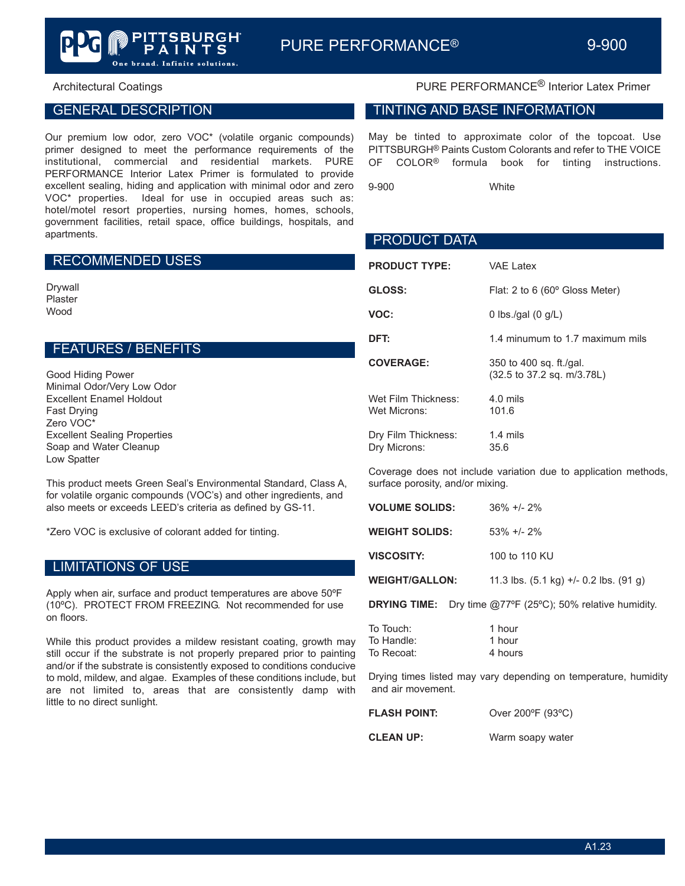## GENERAL DESCRIPTION

Our premium low odor, zero VOC\* (volatile organic compounds) primer designed to meet the performance requirements of the institutional, commercial and residential markets. PURE PERFORMANCE Interior Latex Primer is formulated to provide excellent sealing, hiding and application with minimal odor and zero VOC\* properties. Ideal for use in occupied areas such as: hotel/motel resort properties, nursing homes, homes, schools, government facilities, retail space, office buildings, hospitals, and apartments.

One brand. Infinite solutions.

#### RECOMMENDED USES

Drywall Plaster Wood

#### FEATURES / BENEFITS

Good Hiding Power Minimal Odor/Very Low Odor Excellent Enamel Holdout Fast Drying Zero VOC\* Excellent Sealing Properties Soap and Water Cleanup Low Spatter

This product meets Green Seal's Environmental Standard, Class A, for volatile organic compounds (VOC's) and other ingredients, and also meets or exceeds LEED's criteria as defined by GS-11.

\*Zero VOC is exclusive of colorant added for tinting.

## LIMITATIONS OF USE

Apply when air, surface and product temperatures are above 50ºF (10ºC). PROTECT FROM FREEZING. Not recommended for use on floors.

While this product provides a mildew resistant coating, growth may still occur if the substrate is not properly prepared prior to painting and/or if the substrate is consistently exposed to conditions conducive to mold, mildew, and algae. Examples of these conditions include, but are not limited to, areas that are consistently damp with little to no direct sunlight.

# Architectural Coatings **PURE PERFORMANCE<sup>®</sup> Interior Latex Primer**

#### TINTING AND BASE INFORMATION

May be tinted to approximate color of the topcoat. Use PITTSBURGH® Paints Custom Colorants and refer to THE VOICE OF COLOR® formula book for tinting instructions.

9-900 White

| <b>PRODUCT DATA</b>                 |                                                       |
|-------------------------------------|-------------------------------------------------------|
| <b>PRODUCT TYPE:</b>                | <b>VAE Latex</b>                                      |
| GLOSS:                              | Flat: 2 to 6 $(60^{\circ}$ Gloss Meter)               |
| VOC:                                | 0 lbs./gal $(0 g/L)$                                  |
| DFT:                                | 1.4 minumum to 1.7 maximum mils                       |
| <b>COVERAGE:</b>                    | 350 to 400 sq. ft./gal.<br>(32.5 to 37.2 sq. m/3.78L) |
| Wet Film Thickness:<br>Wet Microns: | $4.0$ mils<br>101.6                                   |
| Dry Film Thickness:<br>Dry Microns: | $1.4 \text{ miles}$<br>35.6                           |

Coverage does not include variation due to application methods, surface porosity, and/or mixing.

| <b>VOLUME SOLIDS:</b> | $36\% +12\%$                                                             |
|-----------------------|--------------------------------------------------------------------------|
| <b>WEIGHT SOLIDS:</b> | $53\% +12\%$                                                             |
| VISCOSITY:            | 100 to 110 KU                                                            |
| <b>WEIGHT/GALLON:</b> | 11.3 lbs. $(5.1 \text{ kg}) +1.0 \cdot 2 \text{ lbs}$ . $(91 \text{ g})$ |

**DRYING TIME:** Dry time @77ºF (25ºC); 50% relative humidity.

| To Touch:  | 1 hour  |
|------------|---------|
| To Handle: | 1 hour  |
| To Recoat: | 4 hours |

Drying times listed may vary depending on temperature, humidity and air movement.

| <b>FLASH POINT:</b> | Over 200°F (93°C) |
|---------------------|-------------------|
| <b>CLEAN UP:</b>    | Warm soapy water  |